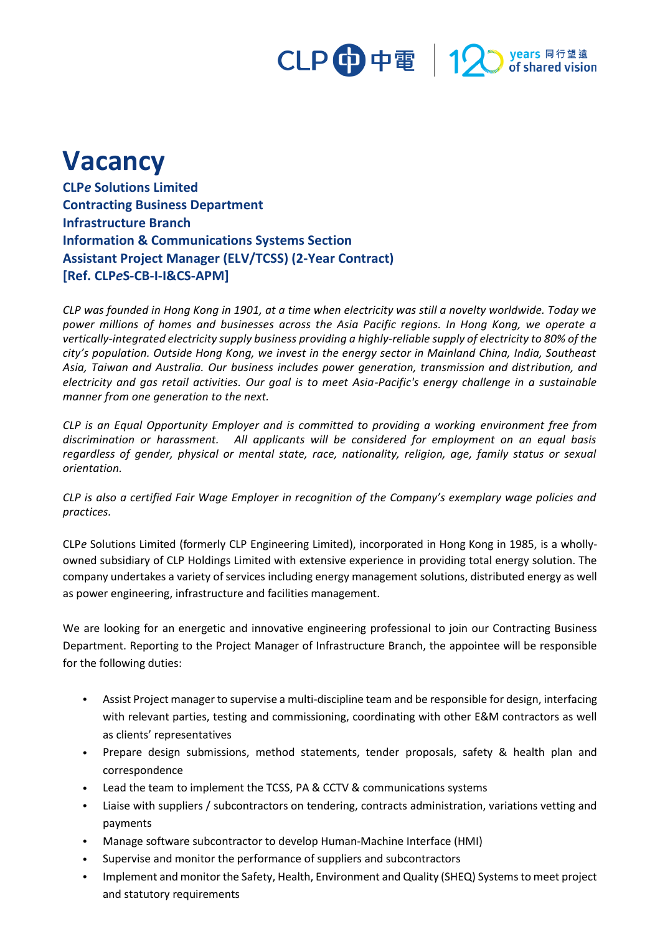# CLP 中電 12 stared vision

# **Vacancy**

**CLP***e* **Solutions Limited Contracting Business Department Infrastructure Branch Information & Communications Systems Section Assistant Project Manager (ELV/TCSS) (2-Year Contract) [Ref. CLP***e***S-CB-I-I&CS-APM]**

*CLP was founded in Hong Kong in 1901, at a time when electricity was still a novelty worldwide. Today we power millions of homes and businesses across the Asia Pacific regions. In Hong Kong, we operate a vertically-integrated electricity supply business providing a highly-reliable supply of electricity to 80% of the city's population. Outside Hong Kong, we invest in the energy sector in Mainland China, India, Southeast Asia, Taiwan and Australia. Our business includes power generation, transmission and distribution, and electricity and gas retail activities. Our goal is to meet Asia-Pacific's energy challenge in a sustainable manner from one generation to the next.*

*CLP is an Equal Opportunity Employer and is committed to providing a working environment free from discrimination or harassment. All applicants will be considered for employment on an equal basis regardless of gender, physical or mental state, race, nationality, religion, age, family status or sexual orientation.*

*CLP is also a certified Fair Wage Employer in recognition of the Company's exemplary wage policies and practices.*

CLP*e* Solutions Limited (formerly CLP Engineering Limited), incorporated in Hong Kong in 1985, is a whollyowned subsidiary of CLP Holdings Limited with extensive experience in providing total energy solution. The company undertakes a variety of services including energy management solutions, distributed energy as well as power engineering, infrastructure and facilities management.

We are looking for an energetic and innovative engineering professional to join our Contracting Business Department. Reporting to the Project Manager of Infrastructure Branch, the appointee will be responsible for the following duties:

- Assist Project manager to supervise a multi-discipline team and be responsible for design, interfacing with relevant parties, testing and commissioning, coordinating with other E&M contractors as well as clients' representatives
- Prepare design submissions, method statements, tender proposals, safety & health plan and correspondence
- Lead the team to implement the TCSS, PA & CCTV & communications systems
- Liaise with suppliers / subcontractors on tendering, contracts administration, variations vetting and payments
- Manage software subcontractor to develop Human-Machine Interface (HMI)
- Supervise and monitor the performance of suppliers and subcontractors
- Implement and monitor the Safety, Health, Environment and Quality (SHEQ) Systems to meet project and statutory requirements